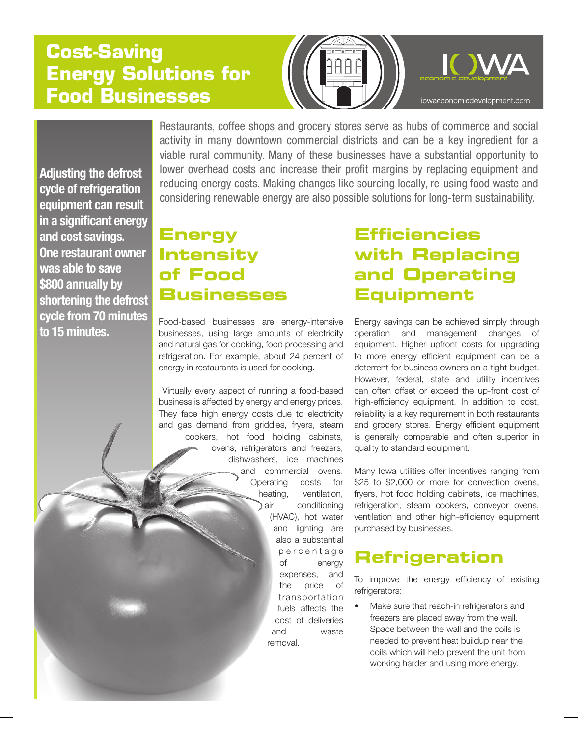# **Cost-Saving Energy Solutions for Food Businesses**



Restaurants, coffee shops and grocery stores serve as hubs of commerce and social activity in many downtown commercial districts and can be a key ingredient for a viable rural community. Many of these businesses have a substantial opportunity to lower overhead costs and increase their profit margins by replacing equipment and reducing energy costs. Making changes like sourcing locally, re-using food waste and considering renewable energy are also possible solutions for long-term sustainability.

**Adjusting the defrost cycle of refrigeration equipment can result in a significant energy and cost savings. One restaurant owner was able to save \$800 annually by shortening the defrost cycle from 70 minutes to 15 minutes.** 

# **Energy Intensity of Food Businesses**

Food-based businesses are energy-intensive businesses, using large amounts of electricity and natural gas for cooking, food processing and refrigeration. For example, about 24 percent of energy in restaurants is used for cooking.

 Virtually every aspect of running a food-based business is affected by energy and energy prices. They face high energy costs due to electricity and gas demand from griddles, fryers, steam cookers, hot food holding cabinets, ovens, refrigerators and freezers, dishwashers, ice machines and commercial ovens. Operating costs for heating, ventilation, air conditioning (HVAC), hot water and lighting are also a substantial p e r c e n t a g e of energy expenses, and the price of transportation fuels affects the cost of deliveries and waste removal.

## **Efficiencies with Replacing and Operating Equipment**

Energy savings can be achieved simply through operation and management changes equipment. Higher upfront costs for upgrading to more energy efficient equipment can be a deterrent for business owners on a tight budget. However, federal, state and utility incentives can often offset or exceed the up-front cost of high-efficiency equipment. In addition to cost, reliability is a key requirement in both restaurants and grocery stores. Energy efficient equipment is generally comparable and often superior in quality to standard equipment.

Many Iowa utilities offer incentives ranging from \$25 to \$2,000 or more for convection ovens, fryers, hot food holding cabinets, ice machines, refrigeration, steam cookers, conveyor ovens, ventilation and other high-efficiency equipment purchased by businesses.

## **Refrigeration**

To improve the energy efficiency of existing refrigerators:

Make sure that reach-in refrigerators and freezers are placed away from the wall. Space between the wall and the coils is needed to prevent heat buildup near the coils which will help prevent the unit from working harder and using more energy.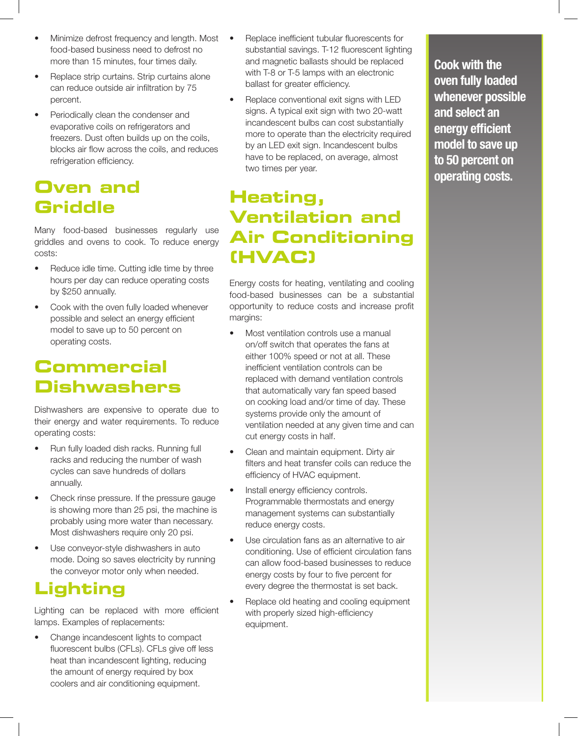- Minimize defrost frequency and length. Most food-based business need to defrost no more than 15 minutes, four times daily.
- Replace strip curtains. Strip curtains alone can reduce outside air infiltration by 75 percent.
- Periodically clean the condenser and evaporative coils on refrigerators and freezers. Dust often builds up on the coils, blocks air flow across the coils, and reduces refrigeration efficiency.

## **Oven and Griddle**

Many food-based businesses regularly use griddles and ovens to cook. To reduce energy costs:

- Reduce idle time. Cutting idle time by three hours per day can reduce operating costs by \$250 annually.
- Cook with the oven fully loaded whenever possible and select an energy efficient model to save up to 50 percent on operating costs.

## **Commercial Dishwashers**

Dishwashers are expensive to operate due to their energy and water requirements. To reduce operating costs:

- Run fully loaded dish racks. Running full racks and reducing the number of wash cycles can save hundreds of dollars annually.
- Check rinse pressure. If the pressure gauge is showing more than 25 psi, the machine is probably using more water than necessary. Most dishwashers require only 20 psi.
- Use conveyor-style dishwashers in auto mode. Doing so saves electricity by running the conveyor motor only when needed.

## **Lighting**

Lighting can be replaced with more efficient lamps. Examples of replacements:

Change incandescent lights to compact fluorescent bulbs (CFLs). CFLs give off less heat than incandescent lighting, reducing the amount of energy required by box coolers and air conditioning equipment.

- Replace inefficient tubular fluorescents for substantial savings. T-12 fluorescent lighting and magnetic ballasts should be replaced with T-8 or T-5 lamps with an electronic ballast for greater efficiency.
- Replace conventional exit signs with LED signs. A typical exit sign with two 20-watt incandescent bulbs can cost substantially more to operate than the electricity required by an LED exit sign. Incandescent bulbs have to be replaced, on average, almost two times per year.

# **Heating, Ventilation and Air Conditioning (HVAC)**

Energy costs for heating, ventilating and cooling food-based businesses can be a substantial opportunity to reduce costs and increase profit margins:

- Most ventilation controls use a manual on/off switch that operates the fans at either 100% speed or not at all. These inefficient ventilation controls can be replaced with demand ventilation controls that automatically vary fan speed based on cooking load and/or time of day. These systems provide only the amount of ventilation needed at any given time and can cut energy costs in half.
- Clean and maintain equipment. Dirty air filters and heat transfer coils can reduce the efficiency of HVAC equipment.
- Install energy efficiency controls. Programmable thermostats and energy management systems can substantially reduce energy costs.
- Use circulation fans as an alternative to air conditioning. Use of efficient circulation fans can allow food-based businesses to reduce energy costs by four to five percent for every degree the thermostat is set back.
- Replace old heating and cooling equipment with properly sized high-efficiency equipment.

**Cook with the oven fully loaded whenever possible and select an energy efficient model to save up to 50 percent on operating costs.**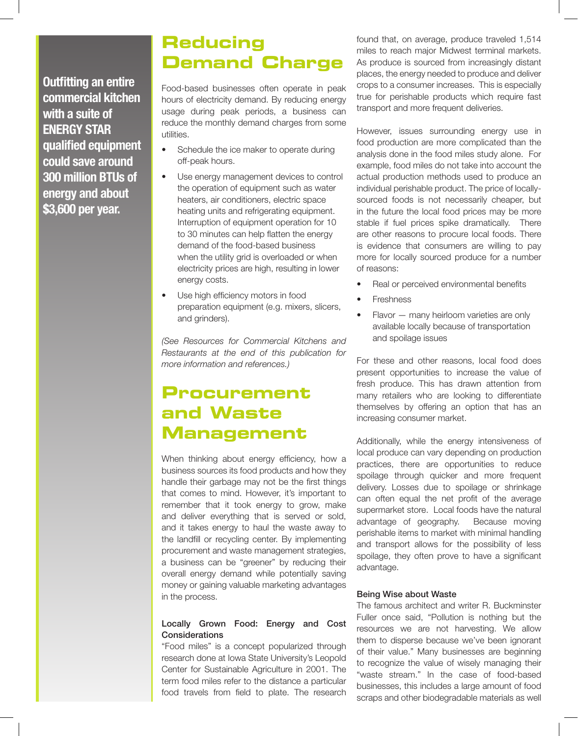**Outfitting an entire commercial kitchen with a suite of ENERGY STAR qualified equipment could save around 300 million BTUs of energy and about \$3,600 per year.** 

## **Reducing Demand Charge**

Food-based businesses often operate in peak hours of electricity demand. By reducing energy usage during peak periods, a business can reduce the monthly demand charges from some utilities.

- Schedule the ice maker to operate during off-peak hours.
- Use energy management devices to control the operation of equipment such as water heaters, air conditioners, electric space heating units and refrigerating equipment. Interruption of equipment operation for 10 to 30 minutes can help flatten the energy demand of the food-based business when the utility grid is overloaded or when electricity prices are high, resulting in lower energy costs.
- Use high efficiency motors in food preparation equipment (e.g. mixers, slicers, and grinders).

*(See Resources for Commercial Kitchens and Restaurants at the end of this publication for more information and references.)*

## **Procurement and Waste Management**

When thinking about energy efficiency, how a business sources its food products and how they handle their garbage may not be the first things that comes to mind. However, it's important to remember that it took energy to grow, make and deliver everything that is served or sold, and it takes energy to haul the waste away to the landfill or recycling center. By implementing procurement and waste management strategies, a business can be "greener" by reducing their overall energy demand while potentially saving money or gaining valuable marketing advantages in the process.

### Locally Grown Food: Energy and Cost **Considerations**

"Food miles" is a concept popularized through research done at Iowa State University's Leopold Center for Sustainable Agriculture in 2001. The term food miles refer to the distance a particular food travels from field to plate. The research found that, on average, produce traveled 1,514 miles to reach major Midwest terminal markets. As produce is sourced from increasingly distant places, the energy needed to produce and deliver crops to a consumer increases. This is especially true for perishable products which require fast transport and more frequent deliveries.

However, issues surrounding energy use in food production are more complicated than the analysis done in the food miles study alone. For example, food miles do not take into account the actual production methods used to produce an individual perishable product. The price of locallysourced foods is not necessarily cheaper, but in the future the local food prices may be more stable if fuel prices spike dramatically. There are other reasons to procure local foods. There is evidence that consumers are willing to pay more for locally sourced produce for a number of reasons:

- Real or perceived environmental benefits
- **Freshness**
- $Flavor many heirloom varieties are only$ available locally because of transportation and spoilage issues

For these and other reasons, local food does present opportunities to increase the value of fresh produce. This has drawn attention from many retailers who are looking to differentiate themselves by offering an option that has an increasing consumer market.

Additionally, while the energy intensiveness of local produce can vary depending on production practices, there are opportunities to reduce spoilage through quicker and more frequent delivery. Losses due to spoilage or shrinkage can often equal the net profit of the average supermarket store. Local foods have the natural advantage of geography. Because moving perishable items to market with minimal handling and transport allows for the possibility of less spoilage, they often prove to have a significant advantage.

### Being Wise about Waste

The famous architect and writer R. Buckminster Fuller once said, "Pollution is nothing but the resources we are not harvesting. We allow them to disperse because we've been ignorant of their value." Many businesses are beginning to recognize the value of wisely managing their "waste stream." In the case of food-based businesses, this includes a large amount of food scraps and other biodegradable materials as well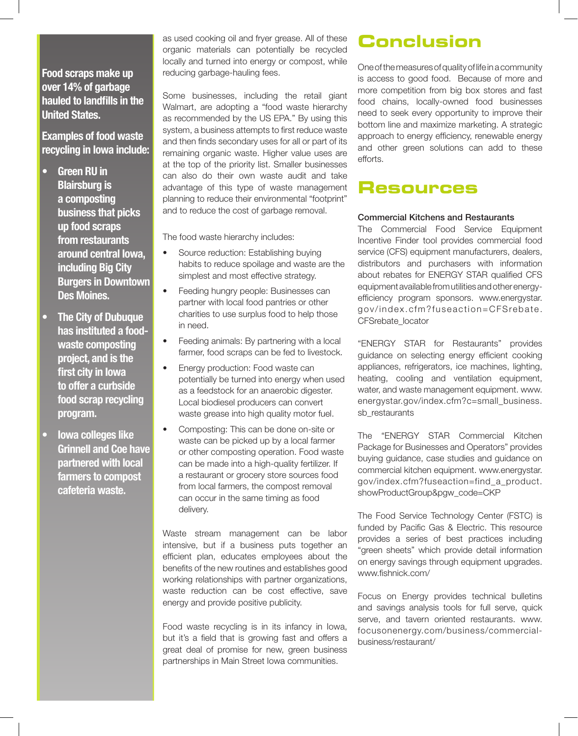### **Food scraps make up over 14% of garbage hauled to landfills in the United States.**

**Examples of food waste recycling in Iowa include:**

- **Green RU in Blairsburg is a composting business that picks up food scraps from restaurants around central Iowa, including Big City Burgers in Downtown Des Moines.**
- **The City of Dubuque has instituted a foodwaste composting project, and is the first city in Iowa to offer a curbside food scrap recycling program.**
- **lowa colleges like Grinnell and Coe have partnered with local farmers to compost cafeteria waste.**

as used cooking oil and fryer grease. All of these organic materials can potentially be recycled locally and turned into energy or compost, while reducing garbage-hauling fees.

Some businesses, including the retail giant Walmart, are adopting a "food waste hierarchy as recommended by the US EPA." By using this system, a business attempts to first reduce waste and then finds secondary uses for all or part of its remaining organic waste. Higher value uses are at the top of the priority list. Smaller businesses can also do their own waste audit and take advantage of this type of waste management planning to reduce their environmental "footprint" and to reduce the cost of garbage removal.

The food waste hierarchy includes:

- Source reduction: Establishing buying habits to reduce spoilage and waste are the simplest and most effective strategy.
- Feeding hungry people: Businesses can partner with local food pantries or other charities to use surplus food to help those in need.
- Feeding animals: By partnering with a local farmer, food scraps can be fed to livestock.
- Energy production: Food waste can potentially be turned into energy when used as a feedstock for an anaerobic digester. Local biodiesel producers can convert waste grease into high quality motor fuel.
- Composting: This can be done on-site or waste can be picked up by a local farmer or other composting operation. Food waste can be made into a high-quality fertilizer. If a restaurant or grocery store sources food from local farmers, the compost removal can occur in the same timing as food delivery.

Waste stream management can be labor intensive, but if a business puts together an efficient plan, educates employees about the benefits of the new routines and establishes good working relationships with partner organizations, waste reduction can be cost effective, save energy and provide positive publicity.

Food waste recycling is in its infancy in Iowa, but it's a field that is growing fast and offers a great deal of promise for new, green business partnerships in Main Street Iowa communities.

## **Conclusion**

One of the measures of quality of life in a community is access to good food. Because of more and more competition from big box stores and fast food chains, locally-owned food businesses need to seek every opportunity to improve their bottom line and maximize marketing. A strategic approach to energy efficiency, renewable energy and other green solutions can add to these efforts.

### **Resources**

### Commercial Kitchens and Restaurants

The Commercial Food Service Equipment Incentive Finder tool provides commercial food service (CFS) equipment manufacturers, dealers, distributors and purchasers with information about rebates for ENERGY STAR qualified CFS equipment available from utilities and other energyefficiency program sponsors. www.energystar. gov/index.cfm?fuseaction=CFSrebate. CFSrebate\_locator

"ENERGY STAR for Restaurants" provides guidance on selecting energy efficient cooking appliances, refrigerators, ice machines, lighting, heating, cooling and ventilation equipment, water, and waste management equipment. www. energystar.gov/index.cfm?c=small\_business. sb\_restaurants

The "ENERGY STAR Commercial Kitchen Package for Businesses and Operators" provides buying guidance, case studies and guidance on commercial kitchen equipment. www.energystar. gov/index.cfm?fuseaction=find\_a\_product. showProductGroup&pgw\_code=CKP

The Food Service Technology Center (FSTC) is funded by Pacific Gas & Electric. This resource provides a series of best practices including "green sheets" which provide detail information on energy savings through equipment upgrades. www.fishnick.com/

Focus on Energy provides technical bulletins and savings analysis tools for full serve, quick serve, and tavern oriented restaurants. www. focusonenergy.com/business/commercialbusiness/restaurant/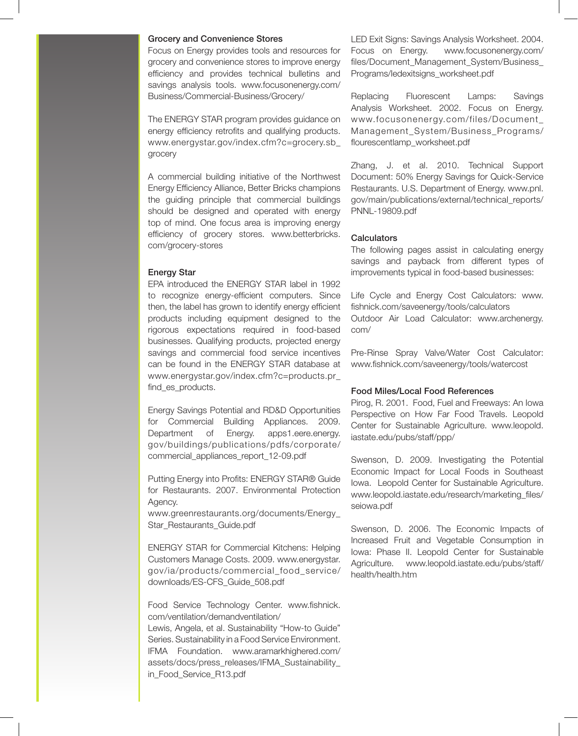#### Grocery and Convenience Stores

Focus on Energy provides tools and resources for grocery and convenience stores to improve energy efficiency and provides technical bulletins and savings analysis tools. www.focusonenergy.com/ Business/Commercial-Business/Grocery/

The ENERGY STAR program provides guidance on energy efficiency retrofits and qualifying products. www.energystar.gov/index.cfm?c=grocery.sb\_ grocery

A commercial building initiative of the Northwest Energy Efficiency Alliance, Better Bricks champions the guiding principle that commercial buildings should be designed and operated with energy top of mind. One focus area is improving energy efficiency of grocery stores. www.betterbricks. com/grocery-stores

### Energy Star

EPA introduced the ENERGY STAR label in 1992 to recognize energy-efficient computers. Since then, the label has grown to identify energy efficient products including equipment designed to the rigorous expectations required in food-based businesses. Qualifying products, projected energy savings and commercial food service incentives can be found in the ENERGY STAR database at www.energystar.gov/index.cfm?c=products.pr\_ find\_es\_products.

Energy Savings Potential and RD&D Opportunities for Commercial Building Appliances. 2009. Department of Energy. apps1.eere.energy. gov/buildings/publications/pdfs/corporate/ commercial\_appliances\_report\_12-09.pdf

Putting Energy into Profits: ENERGY STAR® Guide for Restaurants. 2007. Environmental Protection Agency.

www.greenrestaurants.org/documents/Energy\_ Star\_Restaurants\_Guide.pdf

ENERGY STAR for Commercial Kitchens: Helping Customers Manage Costs. 2009. www.energystar. gov/ia/products/commercial\_food\_service/ downloads/ES-CFS\_Guide\_508.pdf

Food Service Technology Center. www.fishnick. com/ventilation/demandventilation/

Lewis, Angela, et al. Sustainability "How-to Guide" Series. Sustainability in a Food Service Environment. IFMA Foundation. www.aramarkhighered.com/ assets/docs/press\_releases/IFMA\_Sustainability\_ in\_Food\_Service\_R13.pdf

LED Exit Signs: Savings Analysis Worksheet. 2004. Focus on Energy. www.focusonenergy.com/ files/Document\_Management\_System/Business\_ Programs/ledexitsigns\_worksheet.pdf

Replacing Fluorescent Lamps: Savings Analysis Worksheet. 2002. Focus on Energy. www.focusonenergy.com/files/Document\_ Management\_System/Business\_Programs/ flourescentlamp\_worksheet.pdf

Zhang, J. et al. 2010. Technical Support Document: 50% Energy Savings for Quick-Service Restaurants. U.S. Department of Energy. www.pnl. gov/main/publications/external/technical\_reports/ PNNL-19809.pdf

#### **Calculators**

The following pages assist in calculating energy savings and payback from different types of improvements typical in food-based businesses:

Life Cycle and Energy Cost Calculators: www. fishnick.com/saveenergy/tools/calculators Outdoor Air Load Calculator: www.archenergy. com/

Pre-Rinse Spray Valve/Water Cost Calculator: www.fishnick.com/saveenergy/tools/watercost

### Food Miles/Local Food References

Pirog, R. 2001. Food, Fuel and Freeways: An Iowa Perspective on How Far Food Travels. Leopold Center for Sustainable Agriculture. www.leopold. iastate.edu/pubs/staff/ppp/

Swenson, D. 2009. Investigating the Potential Economic Impact for Local Foods in Southeast Iowa. Leopold Center for Sustainable Agriculture. www.leopold.iastate.edu/research/marketing\_files/ seiowa.pdf

Swenson, D. 2006. The Economic Impacts of Increased Fruit and Vegetable Consumption in Iowa: Phase II. Leopold Center for Sustainable Agriculture. www.leopold.iastate.edu/pubs/staff/ health/health.htm